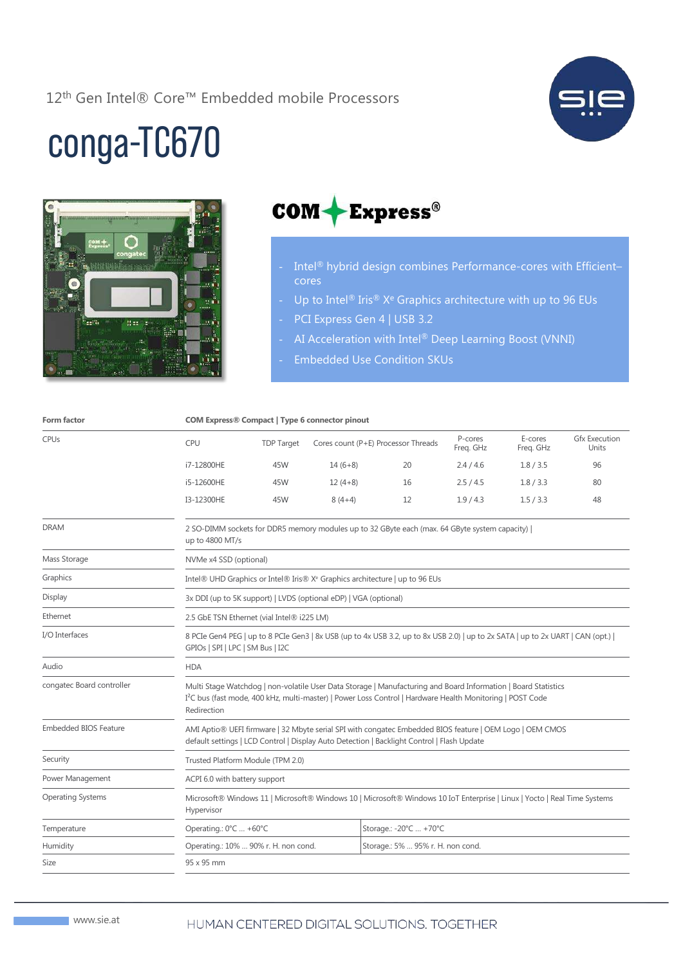12<sup>th</sup> Gen Intel® Core™ Embedded mobile Processors



## conga-TC670





- Intel® hybrid design combines Performance-cores with Efficient– cores
- Up to Intel® Iris® X<sup>e</sup> Graphics architecture with up to 96 EUs
- PCI Express Gen 4 | USB 3.2
- AI Acceleration with Intel® Deep Learning Boost (VNNI)
- Embedded Use Condition SKUs

|                              | <b>COM Express® Compact   Type 6 connector pinout</b>                                                                                                                                                                                                  |                   |           |                                     |                      |                      |                               |  |
|------------------------------|--------------------------------------------------------------------------------------------------------------------------------------------------------------------------------------------------------------------------------------------------------|-------------------|-----------|-------------------------------------|----------------------|----------------------|-------------------------------|--|
| <b>CPUs</b>                  | CPU                                                                                                                                                                                                                                                    | <b>TDP Target</b> |           | Cores count (P+E) Processor Threads | P-cores<br>Freq. GHz | E-cores<br>Freq. GHz | <b>Gfx Execution</b><br>Units |  |
|                              | i7-12800HE                                                                                                                                                                                                                                             | 45W               | $14(6+8)$ | 20                                  | 2.4 / 4.6            | 1.8 / 3.5            | 96                            |  |
|                              | i5-12600HE                                                                                                                                                                                                                                             | 45W               | $12(4+8)$ | 16                                  | 2.5/4.5              | 1.8 / 3.3            | 80                            |  |
|                              | I3-12300HE                                                                                                                                                                                                                                             | 45W               | $8(4+4)$  | 12                                  | 1.9/4.3              | 1.5 / 3.3            | 48                            |  |
| <b>DRAM</b>                  | 2 SO-DIMM sockets for DDR5 memory modules up to 32 GByte each (max. 64 GByte system capacity)  <br>up to 4800 MT/s                                                                                                                                     |                   |           |                                     |                      |                      |                               |  |
| Mass Storage                 | NVMe x4 SSD (optional)                                                                                                                                                                                                                                 |                   |           |                                     |                      |                      |                               |  |
| Graphics                     | Intel® UHD Graphics or Intel® Iris® X <sup>e</sup> Graphics architecture   up to 96 EUs                                                                                                                                                                |                   |           |                                     |                      |                      |                               |  |
| Display                      | 3x DDI (up to 5K support)   LVDS (optional eDP)   VGA (optional)                                                                                                                                                                                       |                   |           |                                     |                      |                      |                               |  |
| Ethernet                     | 2.5 GbE TSN Ethernet (vial Intel® i225 LM)                                                                                                                                                                                                             |                   |           |                                     |                      |                      |                               |  |
| I/O Interfaces               | 8 PCIe Gen4 PEG   up to 8 PCIe Gen3   8x USB (up to 4x USB 3.2, up to 8x USB 2.0)   up to 2x SATA   up to 2x UART   CAN (opt.)  <br>GPIOs   SPI   LPC   SM Bus   I2C                                                                                   |                   |           |                                     |                      |                      |                               |  |
| Audio                        | <b>HDA</b>                                                                                                                                                                                                                                             |                   |           |                                     |                      |                      |                               |  |
| congatec Board controller    | Multi Stage Watchdog   non-volatile User Data Storage   Manufacturing and Board Information   Board Statistics<br>I <sup>2</sup> C bus (fast mode, 400 kHz, multi-master)   Power Loss Control   Hardware Health Monitoring   POST Code<br>Redirection |                   |           |                                     |                      |                      |                               |  |
| <b>Embedded BIOS Feature</b> | AMI Aptio® UEFI firmware   32 Mbyte serial SPI with congatec Embedded BIOS feature   OEM Logo   OEM CMOS<br>default settings   LCD Control   Display Auto Detection   Backlight Control   Flash Update                                                 |                   |           |                                     |                      |                      |                               |  |
| Security                     | Trusted Platform Module (TPM 2.0)                                                                                                                                                                                                                      |                   |           |                                     |                      |                      |                               |  |
| Power Management             | ACPI 6.0 with battery support                                                                                                                                                                                                                          |                   |           |                                     |                      |                      |                               |  |
| <b>Operating Systems</b>     | Microsoft® Windows 11   Microsoft® Windows 10   Microsoft® Windows 10 IoT Enterprise   Linux   Yocto   Real Time Systems<br>Hypervisor                                                                                                                 |                   |           |                                     |                      |                      |                               |  |
| Temperature                  | Operating.: 0°C  +60°C                                                                                                                                                                                                                                 |                   |           | Storage.: -20°C  +70°C              |                      |                      |                               |  |
| Humidity                     | Operating.: 10%  90% r. H. non cond.                                                                                                                                                                                                                   |                   |           | Storage.: 5%  95% r. H. non cond.   |                      |                      |                               |  |
| Size                         | 95 x 95 mm                                                                                                                                                                                                                                             |                   |           |                                     |                      |                      |                               |  |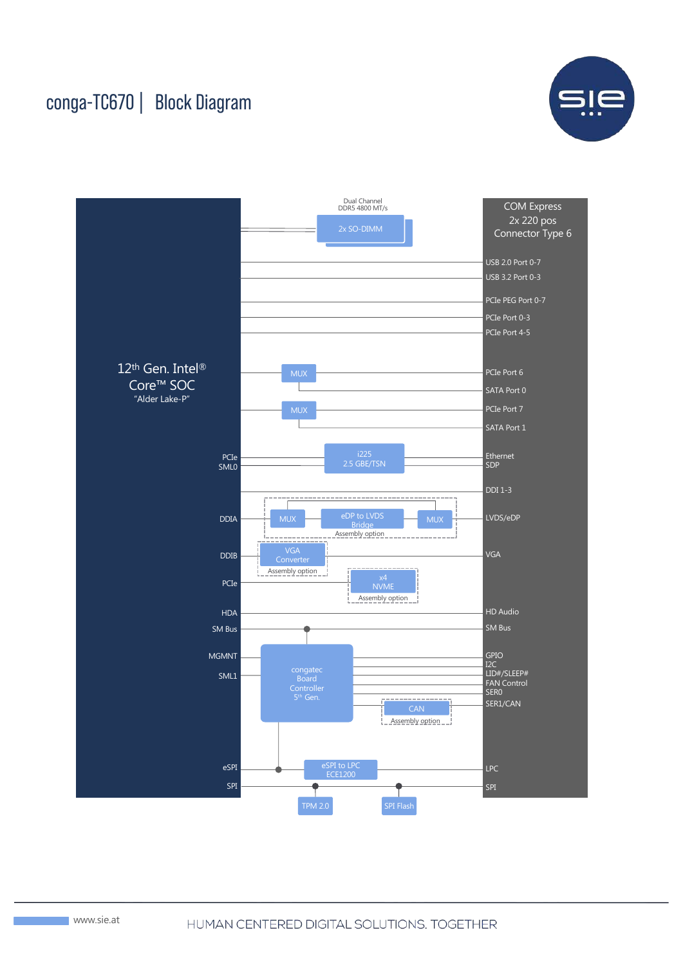## conga-TC670 | Block Diagram